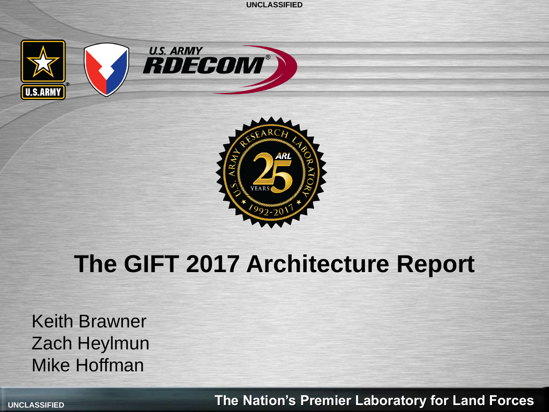





## **The GIFT 2017 Architecture Report**

Keith Brawner Zach Heylmun Mike Hoffman

**UNCLASSIFIED The Nation's Premier Laboratory for Land Forces**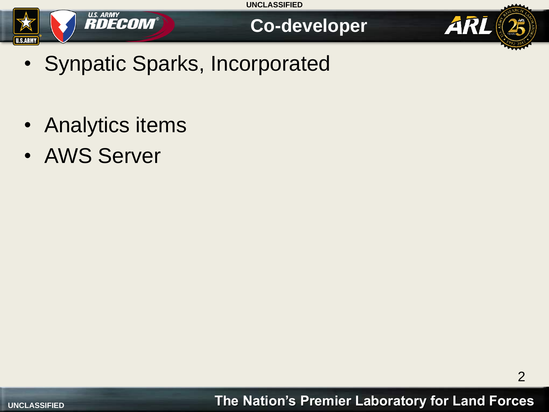





- Synpatic Sparks, Incorporated
- Analytics items
- AWS Server

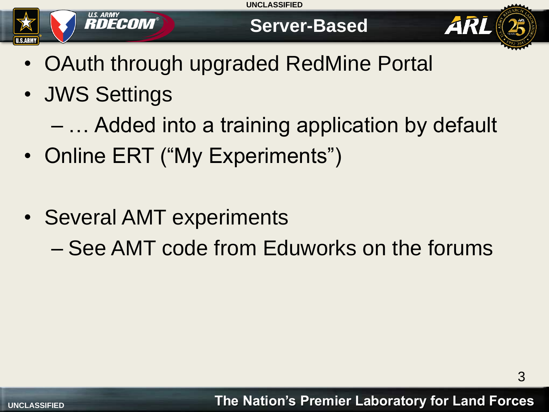



## **Server-Based**



- OAuth through upgraded RedMine Portal
- JWS Settings
	- … Added into a training application by default
- Online ERT ("My Experiments")
- Several AMT experiments
	- See AMT code from Eduworks on the forums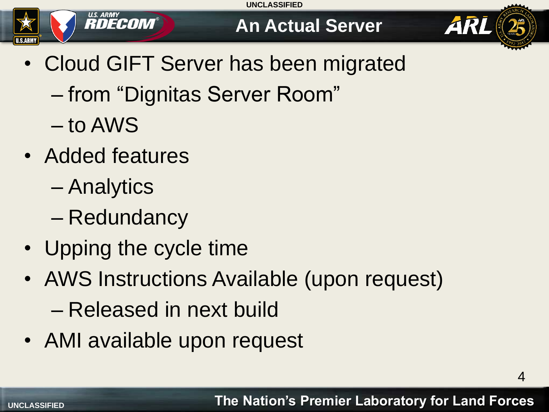## U.S. ARMY<br>**RDECOM** U.S.ARM

## **An Actual Server**



4

- Cloud GIFT Server has been migrated
	- from "Dignitas Server Room"
	- to AWS
- Added features
	- Analytics
	- Redundancy
- Upping the cycle time
- AWS Instructions Available (upon request) – Released in next build
- AMI available upon request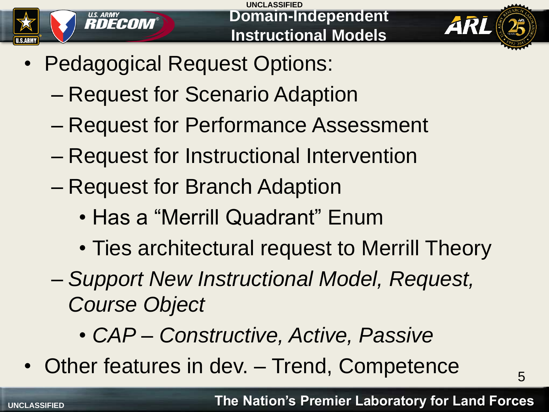



5

- Pedagogical Request Options:
	- Request for Scenario Adaption
	- Request for Performance Assessment
	- Request for Instructional Intervention
	- Request for Branch Adaption
		- Has a "Merrill Quadrant" Enum
		- Ties architectural request to Merrill Theory
	- *Support New Instructional Model, Request, Course Object*
		- *CAP – Constructive, Active, Passive*
- Other features in dev. Trend, Competence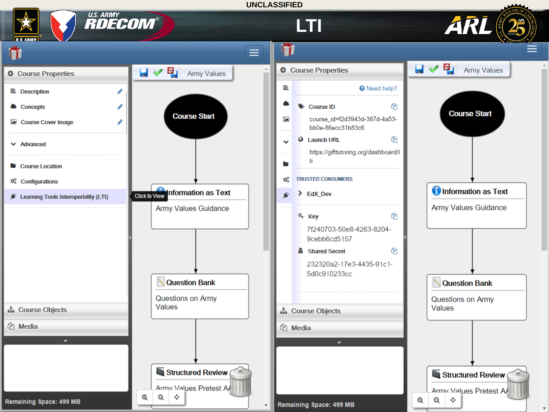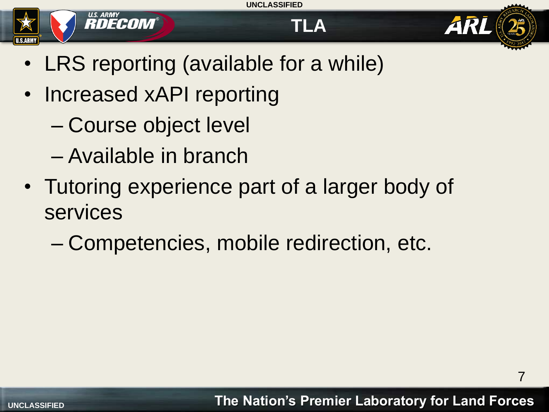

- LRS reporting (available for a while)
- Increased xAPI reporting
	- Course object level
	- Available in branch
- Tutoring experience part of a larger body of services
	- Competencies, mobile redirection, etc.

ARI